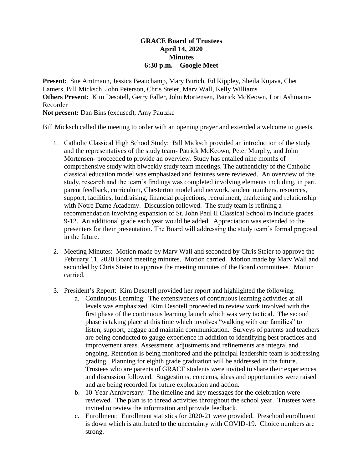## **GRACE Board of Trustees April 14, 2020 Minutes 6:30 p.m. – Google Meet**

**Present:** Sue Amtmann, Jessica Beauchamp, Mary Burich, Ed Kippley, Sheila Kujava, Chet Lamers, Bill Micksch, John Peterson, Chris Steier, Marv Wall, Kelly Williams **Others Present:** Kim Desotell, Gerry Faller, John Mortensen, Patrick McKeown, Lori Ashmann-Recorder

**Not present:** Dan Bins (excused), Amy Pautzke

Bill Micksch called the meeting to order with an opening prayer and extended a welcome to guests.

- 1. Catholic Classical High School Study: Bill Micksch provided an introduction of the study and the representatives of the study team- Patrick McKeown, Peter Murphy, and John Mortensen- proceeded to provide an overview. Study has entailed nine months of comprehensive study with biweekly study team meetings. The authenticity of the Catholic classical education model was emphasized and features were reviewed. An overview of the study, research and the team's findings was completed involving elements including, in part, parent feedback, curriculum, Chesterton model and network, student numbers, resources, support, facilities, fundraising, financial projections, recruitment, marketing and relationship with Notre Dame Academy. Discussion followed. The study team is refining a recommendation involving expansion of St. John Paul II Classical School to include grades 9-12. An additional grade each year would be added. Appreciation was extended to the presenters for their presentation. The Board will addressing the study team's formal proposal in the future.
- 2. Meeting Minutes: Motion made by Marv Wall and seconded by Chris Steier to approve the February 11, 2020 Board meeting minutes. Motion carried. Motion made by Marv Wall and seconded by Chris Steier to approve the meeting minutes of the Board committees. Motion carried.
- 3. President's Report: Kim Desotell provided her report and highlighted the following:
	- a. Continuous Learning: The extensiveness of continuous learning activities at all levels was emphasized. Kim Desotell proceeded to review work involved with the first phase of the continuous learning launch which was very tactical. The second phase is taking place at this time which involves "walking with our families" to listen, support, engage and maintain communication. Surveys of parents and teachers are being conducted to gauge experience in addition to identifying best practices and improvement areas. Assessment, adjustments and refinements are integral and ongoing. Retention is being monitored and the principal leadership team is addressing grading. Planning for eighth grade graduation will be addressed in the future. Trustees who are parents of GRACE students were invited to share their experiences and discussion followed. Suggestions, concerns, ideas and opportunities were raised and are being recorded for future exploration and action.
	- b. 10-Year Anniversary: The timeline and key messages for the celebration were reviewed. The plan is to thread activities throughout the school year. Trustees were invited to review the information and provide feedback.
	- c. Enrollment: Enrollment statistics for 2020-21 were provided. Preschool enrollment is down which is attributed to the uncertainty with COVID-19. Choice numbers are strong.